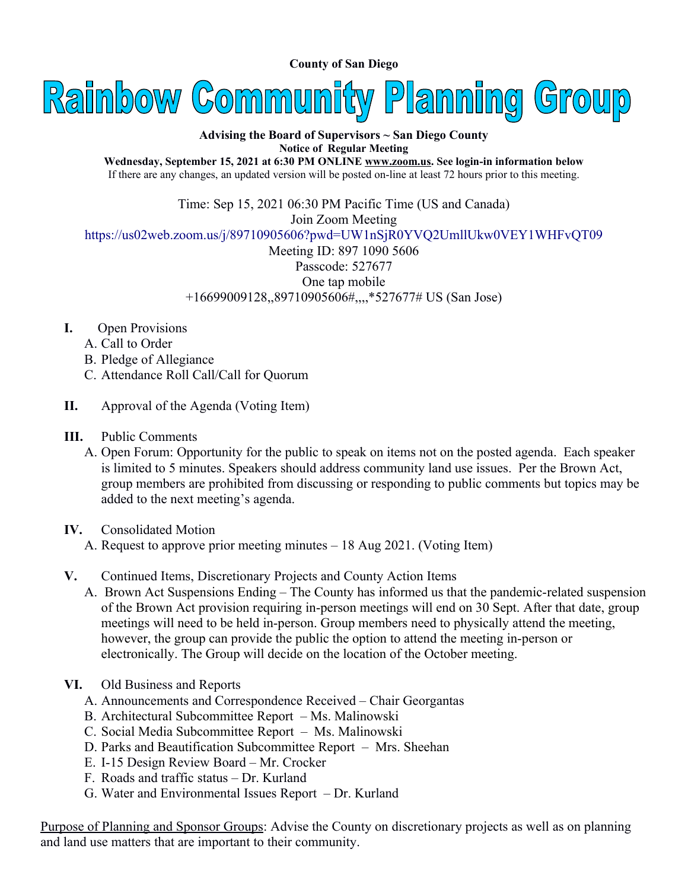**County of San Diego** 



## **Advising the Board of Supervisors ~ San Diego County Notice of Regular Meeting**

**Wednesday, September 15, 2021 at 6:30 PM ONLINE [www.zoom.us.](http://www.zoom.us/) See login-in information below** If there are any changes, an updated version will be posted on-line at least 72 hours prior to this meeting.

Time: Sep 15, 2021 06:30 PM Pacific Time (US and Canada)

Join Zoom Meeting

<https://us02web.zoom.us/j/89710905606?pwd=UW1nSjR0YVQ2UmllUkw0VEY1WHFvQT09>

Meeting ID: 897 1090 5606 Passcode: 527677 One tap mobile +16699009128,,89710905606#,,,,\*527677# US (San Jose)

- **I.** Open Provisions
	- A. Call to Order
	- B. Pledge of Allegiance
	- C. Attendance Roll Call/Call for Quorum
- **II.** Approval of the Agenda (Voting Item)
- **III.** Public Comments
	- A. Open Forum: Opportunity for the public to speak on items not on the posted agenda. Each speaker is limited to 5 minutes. Speakers should address community land use issues. Per the Brown Act, group members are prohibited from discussing or responding to public comments but topics may be added to the next meeting's agenda.
- **IV.** Consolidated Motion
	- A. Request to approve prior meeting minutes 18 Aug 2021. (Voting Item)
- **V.** Continued Items, Discretionary Projects and County Action Items
	- A. Brown Act Suspensions Ending The County has informed us that the pandemic-related suspension of the Brown Act provision requiring in-person meetings will end on 30 Sept. After that date, group meetings will need to be held in-person. Group members need to physically attend the meeting, however, the group can provide the public the option to attend the meeting in-person or electronically. The Group will decide on the location of the October meeting.
- **VI.** Old Business and Reports
	- A. Announcements and Correspondence Received Chair Georgantas
	- B. Architectural Subcommittee Report Ms. Malinowski
	- C. Social Media Subcommittee Report Ms. Malinowski
	- D. Parks and Beautification Subcommittee Report Mrs. Sheehan
	- E. I-15 Design Review Board Mr. Crocker
	- F. Roads and traffic status Dr. Kurland
	- G. Water and Environmental Issues Report Dr. Kurland

Purpose of Planning and Sponsor Groups: Advise the County on discretionary projects as well as on planning and land use matters that are important to their community.